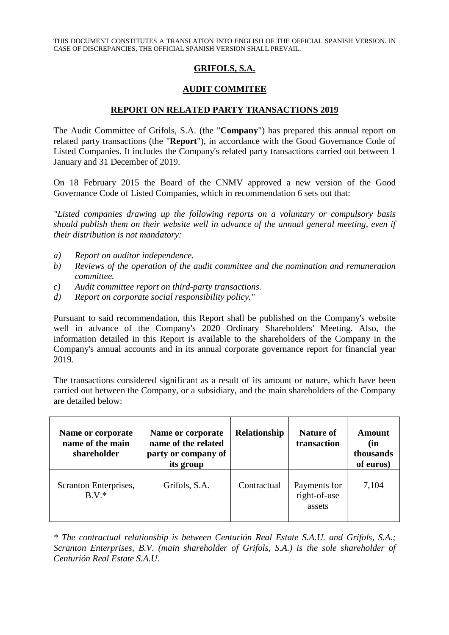THIS DOCUMENT CONSTITUTES A TRANSLATION INTO ENGLISH OF THE OFFICIAL SPANISH VERSION. IN CASE OF DISCREPANCIES, THE OFFICIAL SPANISH VERSION SHALL PREVAIL.

## **GRIFOLS, S.A.**

## **AUDIT COMMITEE**

## **REPORT ON RELATED PARTY TRANSACTIONS 2019**

The Audit Committee of Grifols, S.A. (the "**Company**") has prepared this annual report on related party transactions (the "**Report**"), in accordance with the Good Governance Code of Listed Companies. It includes the Company's related party transactions carried out between 1 January and 31 December of 2019.

On 18 February 2015 the Board of the CNMV approved a new version of the Good Governance Code of Listed Companies, which in recommendation 6 sets out that:

*"Listed companies drawing up the following reports on a voluntary or compulsory basis should publish them on their website well in advance of the annual general meeting, even if their distribution is not mandatory:*

- *a) Report on auditor independence.*
- *b) Reviews of the operation of the audit committee and the nomination and remuneration committee.*
- *c) Audit committee report on third-party transactions.*
- *d) Report on corporate social responsibility policy."*

Pursuant to said recommendation, this Report shall be published on the Company's website well in advance of the Company's 2020 Ordinary Shareholders' Meeting. Also, the information detailed in this Report is available to the shareholders of the Company in the Company's annual accounts and in its annual corporate governance report for financial year 2019.

The transactions considered significant as a result of its amount or nature, which have been carried out between the Company, or a subsidiary, and the main shareholders of the Company are detailed below:

| Name or corporate<br>name of the main<br>shareholder | Name or corporate<br>name of the related<br>party or company of<br>its group | Relationship | <b>Nature of</b><br>transaction        | Amount<br>(in<br>thousands<br>of euros) |
|------------------------------------------------------|------------------------------------------------------------------------------|--------------|----------------------------------------|-----------------------------------------|
| Scranton Enterprises,<br>$B V^*$                     | Grifols, S.A.                                                                | Contractual  | Payments for<br>right-of-use<br>assets | 7,104                                   |

*\* The contractual relationship is between Centurión Real Estate S.A.U. and Grifols, S.A.; Scranton Enterprises, B.V. (main shareholder of Grifols, S.A.) is the sole shareholder of Centurión Real Estate S.A.U.*